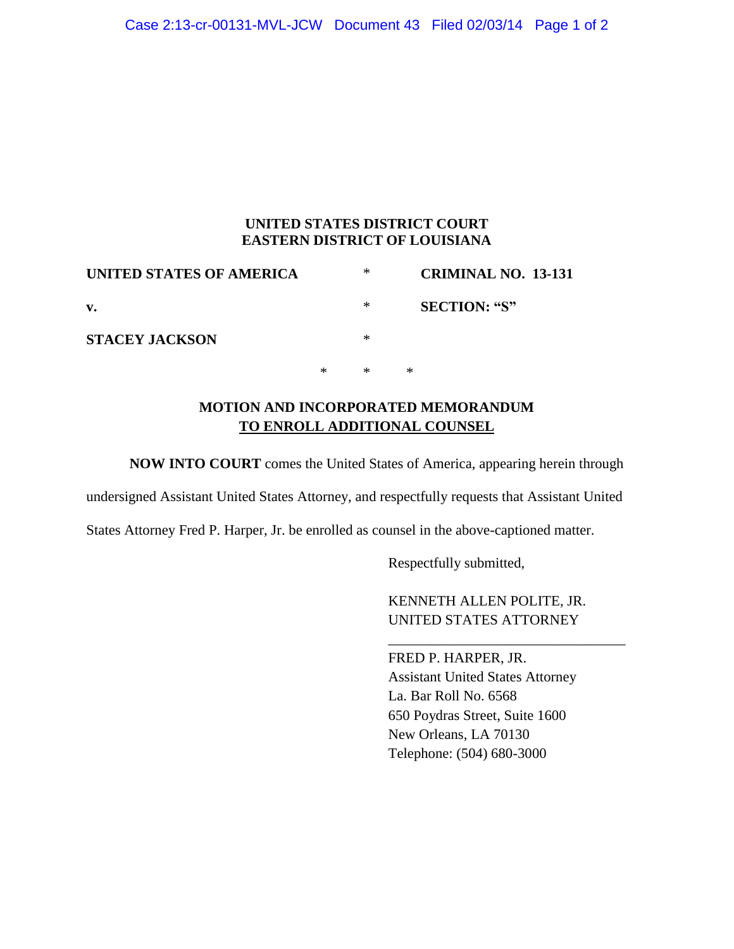#### **UNITED STATES DISTRICT COURT EASTERN DISTRICT OF LOUISIANA**

| UNITED STATES OF AMERICA |   | ∗ | CRIMINAL NO. 13-131 |
|--------------------------|---|---|---------------------|
| v.                       |   | ∗ | <b>SECTION: "S"</b> |
| <b>STACEY JACKSON</b>    |   | ∗ |                     |
|                          | ∗ | ∗ | ∗                   |

## **MOTION AND INCORPORATED MEMORANDUM TO ENROLL ADDITIONAL COUNSEL**

**NOW INTO COURT** comes the United States of America, appearing herein through

undersigned Assistant United States Attorney, and respectfully requests that Assistant United

States Attorney Fred P. Harper, Jr. be enrolled as counsel in the above-captioned matter.

Respectfully submitted,

KENNETH ALLEN POLITE, JR. UNITED STATES ATTORNEY

\_\_\_\_\_\_\_\_\_\_\_\_\_\_\_\_\_\_\_\_\_\_\_\_\_\_\_\_\_\_\_\_\_

FRED P. HARPER, JR. Assistant United States Attorney La. Bar Roll No. 6568 650 Poydras Street, Suite 1600 New Orleans, LA 70130 Telephone: (504) 680-3000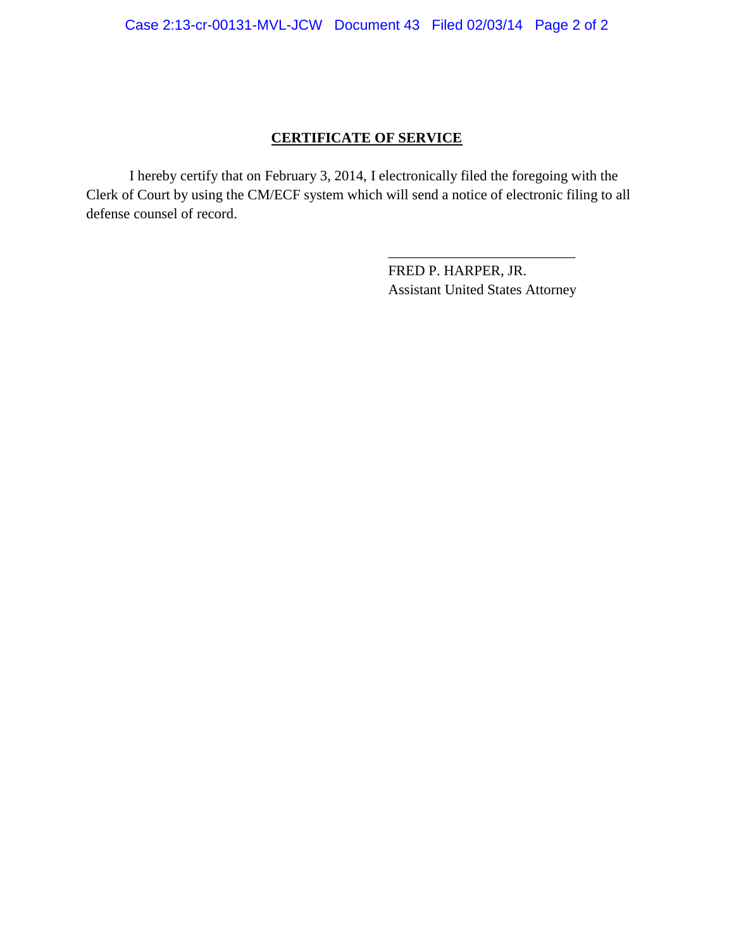## **CERTIFICATE OF SERVICE**

I hereby certify that on February 3, 2014, I electronically filed the foregoing with the Clerk of Court by using the CM/ECF system which will send a notice of electronic filing to all defense counsel of record.

> FRED P. HARPER, JR. Assistant United States Attorney

\_\_\_\_\_\_\_\_\_\_\_\_\_\_\_\_\_\_\_\_\_\_\_\_\_\_